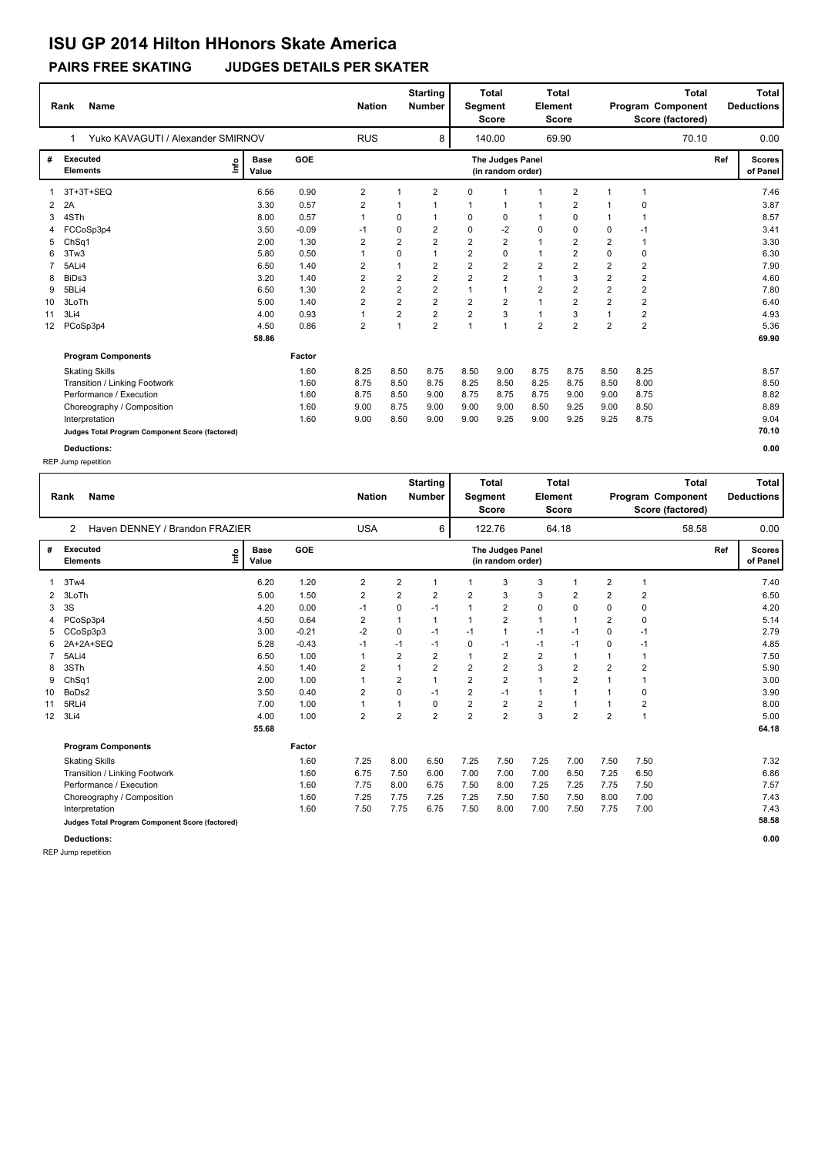### **PAIRS FREE SKATING JUDGES DETAILS PER SKATER**

|                 | <b>Name</b><br>Rank                             | <b>Nation</b>         |         | <b>Starting</b><br><b>Number</b> | <b>Segment</b> | <b>Total</b><br><b>Score</b> | Element        | <b>Total</b><br><b>Score</b>          |                         |                | <b>Total</b><br>Program Component<br>Score (factored) |                | Total<br><b>Deductions</b> |     |                           |
|-----------------|-------------------------------------------------|-----------------------|---------|----------------------------------|----------------|------------------------------|----------------|---------------------------------------|-------------------------|----------------|-------------------------------------------------------|----------------|----------------------------|-----|---------------------------|
|                 | Yuko KAVAGUTI / Alexander SMIRNOV<br>1          |                       |         | <b>RUS</b>                       |                | 8                            |                | 140.00                                |                         | 69.90          |                                                       |                | 70.10                      |     | 0.00                      |
| #               | <b>Executed</b><br><b>Elements</b>              | Base<br>١nf٥<br>Value | GOE     |                                  |                |                              |                | The Judges Panel<br>(in random order) |                         |                |                                                       |                |                            | Ref | <b>Scores</b><br>of Panel |
|                 | 3T+3T+SEQ                                       | 6.56                  | 0.90    | 2                                |                | $\overline{2}$               | $\mathbf 0$    | 1                                     | 1                       | $\overline{2}$ | 1                                                     | 1              |                            |     | 7.46                      |
| $\overline{2}$  | 2A                                              | 3.30                  | 0.57    | 2                                |                | -1                           | $\mathbf 1$    | $\mathbf 1$                           |                         | $\overline{2}$ |                                                       | 0              |                            |     | 3.87                      |
| 3               | 4STh                                            | 8.00                  | 0.57    | 1                                | 0              | $\mathbf 1$                  | 0              | 0                                     | 1                       | $\Omega$       | $\mathbf{1}$                                          | -1             |                            |     | 8.57                      |
|                 | FCCoSp3p4                                       | 3.50                  | $-0.09$ | $-1$                             | 0              | $\overline{2}$               | $\mathbf 0$    | $-2$                                  | $\mathbf 0$             | 0              | $\Omega$                                              | $-1$           |                            |     | 3.41                      |
| 5               | Ch <sub>Sq1</sub>                               | 2.00                  | 1.30    | 2                                | 2              | $\overline{2}$               | $\overline{2}$ | $\overline{2}$                        | $\overline{1}$          | $\overline{2}$ | $\overline{2}$                                        | 1              |                            |     | 3.30                      |
| 6               | 3Tw3                                            | 5.80                  | 0.50    |                                  | 0              | $\overline{1}$               | $\overline{2}$ | $\mathbf 0$                           | $\overline{1}$          | $\overline{2}$ | $\Omega$                                              | $\mathbf 0$    |                            |     | 6.30                      |
|                 | 5ALi4                                           | 6.50                  | 1.40    | 2                                | 1              | $\overline{2}$               | $\overline{2}$ | $\overline{2}$                        | $\overline{2}$          | $\overline{2}$ | $\overline{2}$                                        | $\overline{2}$ |                            |     | 7.90                      |
| 8               | BiDs3                                           | 3.20                  | 1.40    | 2                                | 2              | $\overline{c}$               | $\overline{2}$ | $\overline{2}$                        | $\overline{1}$          | 3              | $\overline{2}$                                        | 2              |                            |     | 4.60                      |
| 9               | 5BLi4                                           | 6.50                  | 1.30    | 2                                | 2              | $\overline{2}$               | 1              | $\overline{1}$                        | $\overline{\mathbf{c}}$ | $\overline{2}$ | $\overline{2}$                                        | $\overline{2}$ |                            |     | 7.80                      |
| 10              | 3LoTh                                           | 5.00                  | 1.40    | 2                                | $\overline{2}$ | $\mathbf 2$                  | $\overline{2}$ | $\overline{2}$                        | $\overline{1}$          | $\overline{2}$ | $\overline{2}$                                        | 2              |                            |     | 6.40                      |
| 11              | 3Li4                                            | 4.00                  | 0.93    |                                  | 2              | $\overline{2}$               | $\overline{2}$ | 3                                     | 1                       | 3              |                                                       | $\overline{2}$ |                            |     | 4.93                      |
| 12 <sup>2</sup> | PCoSp3p4                                        | 4.50                  | 0.86    | 2                                | 1              | $\overline{2}$               | $\overline{1}$ | $\overline{1}$                        | $\overline{2}$          | $\overline{2}$ | $\overline{2}$                                        | $\overline{2}$ |                            |     | 5.36                      |
|                 |                                                 | 58.86                 |         |                                  |                |                              |                |                                       |                         |                |                                                       |                |                            |     | 69.90                     |
|                 | <b>Program Components</b>                       |                       | Factor  |                                  |                |                              |                |                                       |                         |                |                                                       |                |                            |     |                           |
|                 | <b>Skating Skills</b>                           |                       | 1.60    | 8.25                             | 8.50           | 8.75                         | 8.50           | 9.00                                  | 8.75                    | 8.75           | 8.50                                                  | 8.25           |                            |     | 8.57                      |
|                 | Transition / Linking Footwork                   |                       | 1.60    | 8.75                             | 8.50           | 8.75                         | 8.25           | 8.50                                  | 8.25                    | 8.75           | 8.50                                                  | 8.00           |                            |     | 8.50                      |
|                 | Performance / Execution                         |                       | 1.60    | 8.75                             | 8.50           | 9.00                         | 8.75           | 8.75                                  | 8.75                    | 9.00           | 9.00                                                  | 8.75           |                            |     | 8.82                      |
|                 | Choreography / Composition                      |                       | 1.60    | 9.00                             | 8.75           | 9.00                         | 9.00           | 9.00                                  | 8.50                    | 9.25           | 9.00                                                  | 8.50           |                            |     | 8.89                      |
|                 | Interpretation                                  |                       | 1.60    | 9.00                             | 8.50           | 9.00                         | 9.00           | 9.25                                  | 9.00                    | 9.25           | 9.25                                                  | 8.75           |                            |     | 9.04                      |
|                 | Judges Total Program Component Score (factored) |                       |         |                                  |                |                              |                |                                       |                         |                |                                                       |                |                            |     | 70.10                     |

**Deductions: 0.00**

REP Jump repetition

| <b>Name</b><br>Rank |                                                         |      |                      |            | <b>Nation</b>  |                | <b>Starting</b><br><b>Number</b> | <b>Total</b><br><b>Total</b><br>Element<br>Segment<br><b>Score</b><br><b>Score</b> |                                       |                |                | <b>Total</b><br>Program Component<br>Score (factored) |                |       | <b>Total</b><br><b>Deductions</b> |                           |
|---------------------|---------------------------------------------------------|------|----------------------|------------|----------------|----------------|----------------------------------|------------------------------------------------------------------------------------|---------------------------------------|----------------|----------------|-------------------------------------------------------|----------------|-------|-----------------------------------|---------------------------|
|                     | Haven DENNEY / Brandon FRAZIER<br>$\mathbf{2}^{\prime}$ |      |                      |            | <b>USA</b>     |                | 6                                |                                                                                    | 122.76                                |                | 64.18          |                                                       |                | 58.58 |                                   | 0.00                      |
| #                   | Executed<br><b>Elements</b>                             | lnfo | <b>Base</b><br>Value | <b>GOE</b> |                |                |                                  |                                                                                    | The Judges Panel<br>(in random order) |                |                |                                                       |                |       | Ref                               | <b>Scores</b><br>of Panel |
|                     | 3Tw4                                                    |      | 6.20                 | 1.20       | $\overline{2}$ | $\overline{2}$ | 1                                | 1                                                                                  | 3                                     | 3              | 1              | $\overline{2}$                                        | 1              |       |                                   | 7.40                      |
| 2                   | 3LoTh                                                   |      | 5.00                 | 1.50       | $\overline{2}$ | $\overline{2}$ | 2                                | 2                                                                                  | 3                                     | 3              | 2              | 2                                                     | 2              |       |                                   | 6.50                      |
| 3                   | 3S                                                      |      | 4.20                 | 0.00       | $-1$           | 0              | $-1$                             | 1                                                                                  | $\overline{2}$                        | 0              | 0              | $\Omega$                                              | 0              |       |                                   | 4.20                      |
| 4                   | PCoSp3p4                                                |      | 4.50                 | 0.64       | 2              | 1              | $\mathbf{1}$                     | 1                                                                                  | $\overline{2}$                        | $\mathbf{1}$   | $\mathbf 1$    | 2                                                     | 0              |       |                                   | 5.14                      |
| 5                   | CCoSp3p3                                                |      | 3.00                 | $-0.21$    | $-2$           | 0              | $-1$                             | $-1$                                                                               | $\mathbf{1}$                          | $-1$           | $-1$           | $\Omega$                                              | $-1$           |       |                                   | 2.79                      |
| 6                   | 2A+2A+SEQ                                               |      | 5.28                 | $-0.43$    | $-1$           | $-1$           | $-1$                             | 0                                                                                  | $-1$                                  | $-1$           | $-1$           | $\Omega$                                              | $-1$           |       |                                   | 4.85                      |
| 7                   | 5ALi4                                                   |      | 6.50                 | 1.00       | $\mathbf{1}$   | $\overline{2}$ | 2                                |                                                                                    | $\overline{2}$                        | $\overline{2}$ | 1              |                                                       | $\mathbf{1}$   |       |                                   | 7.50                      |
| 8                   | 3STh                                                    |      | 4.50                 | 1.40       | $\overline{2}$ | 1              | 2                                | 2                                                                                  | $\overline{2}$                        | 3              | $\overline{2}$ | 2                                                     | $\overline{2}$ |       |                                   | 5.90                      |
| 9                   | ChSq1                                                   |      | 2.00                 | 1.00       | 1              | $\overline{2}$ | 1                                | $\overline{2}$                                                                     | $\overline{2}$                        | $\mathbf{1}$   | $\overline{2}$ | 1                                                     | 1              |       |                                   | 3.00                      |
| 10                  | BoDs2                                                   |      | 3.50                 | 0.40       | $\overline{2}$ | $\Omega$       | $-1$                             | $\overline{2}$                                                                     | $-1$                                  | $\mathbf{1}$   | $\mathbf{1}$   |                                                       | $\Omega$       |       |                                   | 3.90                      |
| 11                  | 5RLi4                                                   |      | 7.00                 | 1.00       | $\mathbf{1}$   | $\mathbf{1}$   | 0                                | $\overline{2}$                                                                     | $\overline{2}$                        | $\overline{2}$ | 1              |                                                       | 2              |       |                                   | 8.00                      |
| 12                  | 3Li4                                                    |      | 4.00                 | 1.00       | $\overline{2}$ | $\overline{2}$ | $\overline{2}$                   | $\overline{2}$                                                                     | $\overline{2}$                        | 3              | $\overline{2}$ | $\overline{2}$                                        | $\mathbf{1}$   |       |                                   | 5.00                      |
|                     |                                                         |      | 55.68                |            |                |                |                                  |                                                                                    |                                       |                |                |                                                       |                |       |                                   | 64.18                     |
|                     | <b>Program Components</b>                               |      |                      | Factor     |                |                |                                  |                                                                                    |                                       |                |                |                                                       |                |       |                                   |                           |
|                     | <b>Skating Skills</b>                                   |      |                      | 1.60       | 7.25           | 8.00           | 6.50                             | 7.25                                                                               | 7.50                                  | 7.25           | 7.00           | 7.50                                                  | 7.50           |       |                                   | 7.32                      |
|                     | Transition / Linking Footwork                           |      |                      | 1.60       | 6.75           | 7.50           | 6.00                             | 7.00                                                                               | 7.00                                  | 7.00           | 6.50           | 7.25                                                  | 6.50           |       |                                   | 6.86                      |
|                     | Performance / Execution                                 |      |                      | 1.60       | 7.75           | 8.00           | 6.75                             | 7.50                                                                               | 8.00                                  | 7.25           | 7.25           | 7.75                                                  | 7.50           |       |                                   | 7.57                      |
|                     | Choreography / Composition                              |      |                      | 1.60       | 7.25           | 7.75           | 7.25                             | 7.25                                                                               | 7.50                                  | 7.50           | 7.50           | 8.00                                                  | 7.00           |       |                                   | 7.43                      |
|                     | Interpretation                                          |      |                      | 1.60       | 7.50           | 7.75           | 6.75                             | 7.50                                                                               | 8.00                                  | 7.00           | 7.50           | 7.75                                                  | 7.00           |       |                                   | 7.43                      |
|                     | Judges Total Program Component Score (factored)         |      |                      |            |                |                |                                  |                                                                                    |                                       |                |                |                                                       |                |       |                                   | 58.58                     |
|                     | <b>Deductions:</b>                                      |      |                      |            |                |                |                                  |                                                                                    |                                       |                |                |                                                       |                |       |                                   | 0.00                      |

REP Jump repetition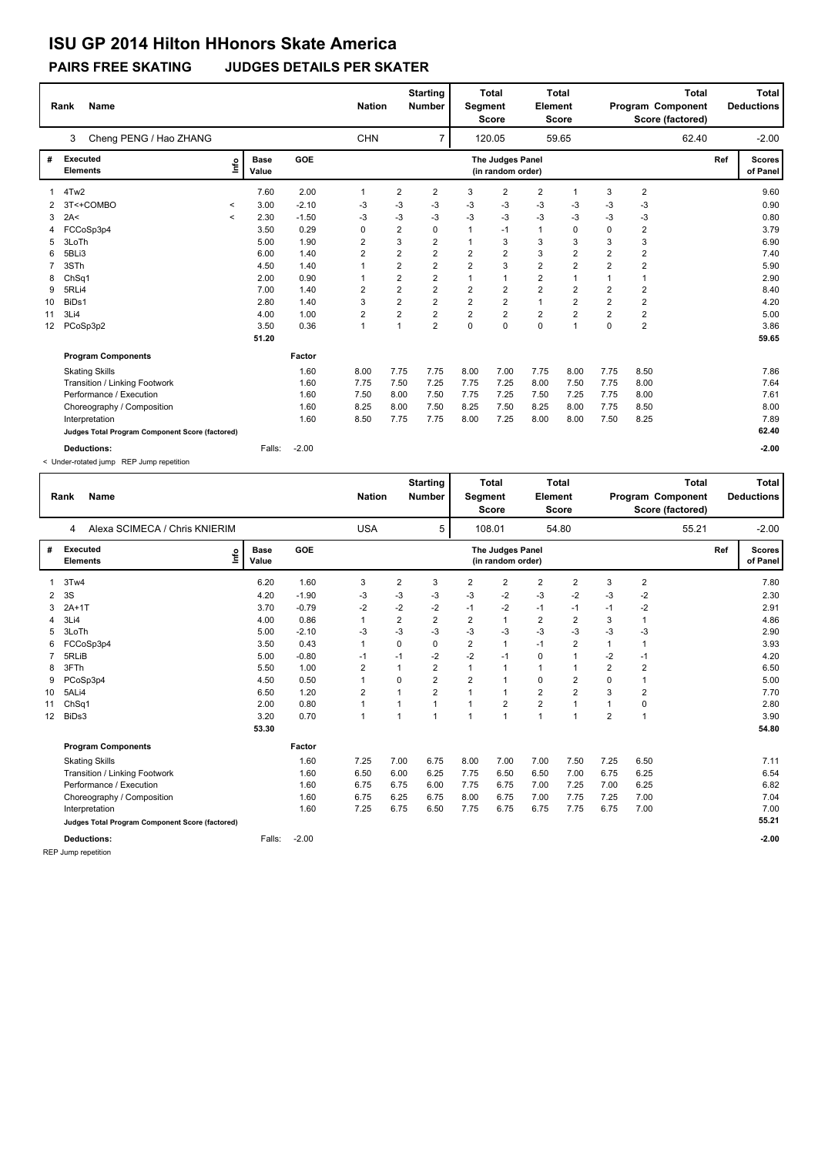#### **PAIRS FREE SKATING JUDGES DETAILS PER SKATER**

|    | Name<br>Rank                                    |                          |                      | <b>Nation</b> |                | <b>Starting</b><br>Number | <b>Total</b><br>Segment<br><b>Score</b> |                |                                       | <b>Total</b><br>Element<br><b>Score</b> |                | <b>Total</b><br>Program Component<br>Score (factored) |                | Total<br><b>Deductions</b> |                           |
|----|-------------------------------------------------|--------------------------|----------------------|---------------|----------------|---------------------------|-----------------------------------------|----------------|---------------------------------------|-----------------------------------------|----------------|-------------------------------------------------------|----------------|----------------------------|---------------------------|
|    | Cheng PENG / Hao ZHANG<br>3                     |                          |                      |               | <b>CHN</b>     |                           | $\overline{7}$                          |                | 120.05                                |                                         | 59.65          |                                                       | 62.40          |                            | $-2.00$                   |
| #  | <b>Executed</b><br><b>Elements</b>              | ١nf٥                     | <b>Base</b><br>Value | GOE           |                |                           |                                         |                | The Judges Panel<br>(in random order) |                                         |                |                                                       |                | Ref                        | <b>Scores</b><br>of Panel |
| 1  | 4Tw2                                            |                          | 7.60                 | 2.00          | $\mathbf{1}$   | $\overline{\mathbf{c}}$   | 2                                       | 3              | $\overline{2}$                        | $\overline{2}$                          | $\overline{1}$ | 3                                                     | $\overline{2}$ |                            | 9.60                      |
| 2  | 3T<+COMBO                                       | $\overline{\phantom{a}}$ | 3.00                 | $-2.10$       | -3             | $-3$                      | -3                                      | $-3$           | $-3$                                  | $-3$                                    | $-3$           | -3                                                    | $-3$           |                            | 0.90                      |
| 3  | 2A<                                             | $\overline{\phantom{0}}$ | 2.30                 | $-1.50$       | -3             | $-3$                      | -3                                      | $-3$           | $-3$                                  | $-3$                                    | -3             | -3                                                    | -3             |                            | 0.80                      |
|    | FCCoSp3p4                                       |                          | 3.50                 | 0.29          | 0              | $\overline{\mathbf{c}}$   | 0                                       | $\mathbf{1}$   | $-1$                                  | $\mathbf{1}$                            | 0              | $\Omega$                                              | $\overline{2}$ |                            | 3.79                      |
| 5  | 3LoTh                                           |                          | 5.00                 | 1.90          | 2              | 3                         | $\overline{2}$                          | $\mathbf{1}$   | 3                                     | 3                                       | 3              | 3                                                     | 3              |                            | 6.90                      |
| 6  | 5BLi3                                           |                          | 6.00                 | 1.40          | 2              | $\overline{\mathbf{c}}$   | $\overline{2}$                          | $\overline{2}$ | $\overline{2}$                        | 3                                       | $\overline{2}$ | $\overline{2}$                                        | $\overline{2}$ |                            | 7.40                      |
|    | 3STh                                            |                          | 4.50                 | 1.40          |                | $\overline{2}$            | $\overline{2}$                          | $\overline{2}$ | 3                                     | $\overline{2}$                          | $\overline{2}$ | $\overline{2}$                                        | $\overline{2}$ |                            | 5.90                      |
| 8  | Ch <sub>Sq1</sub>                               |                          | 2.00                 | 0.90          | 1              | $\overline{\mathbf{c}}$   | $\overline{2}$                          | $\mathbf{1}$   | $\mathbf{1}$                          | $\overline{\mathbf{c}}$                 | $\overline{1}$ | $\mathbf 1$                                           | 1              |                            | 2.90                      |
| 9  | 5RLi4                                           |                          | 7.00                 | 1.40          | 2              | $\overline{\mathbf{c}}$   | $\overline{2}$                          | $\overline{2}$ | $\overline{2}$                        | $\overline{2}$                          | $\overline{2}$ | $\overline{2}$                                        | 2              |                            | 8.40                      |
| 10 | BiDs1                                           |                          | 2.80                 | 1.40          | 3              | $\overline{2}$            | $\overline{2}$                          | $\overline{2}$ | $\overline{2}$                        | $\mathbf{1}$                            | $\overline{2}$ | $\overline{2}$                                        | $\overline{2}$ |                            | 4.20                      |
| 11 | 3Li4                                            |                          | 4.00                 | 1.00          | $\overline{2}$ | $\overline{2}$            | $\overline{2}$                          | $\overline{2}$ | $\overline{2}$                        | $\overline{2}$                          | $\overline{2}$ | $\overline{2}$                                        | $\overline{2}$ |                            | 5.00                      |
| 12 | PCoSp3p2                                        |                          | 3.50                 | 0.36          | $\mathbf{1}$   | 1                         | $\overline{2}$                          | $\Omega$       | $\Omega$                              | $\mathbf 0$                             | $\overline{1}$ | $\Omega$                                              | $\overline{2}$ |                            | 3.86                      |
|    |                                                 |                          | 51.20                |               |                |                           |                                         |                |                                       |                                         |                |                                                       |                |                            | 59.65                     |
|    | <b>Program Components</b>                       |                          |                      | Factor        |                |                           |                                         |                |                                       |                                         |                |                                                       |                |                            |                           |
|    | <b>Skating Skills</b>                           |                          |                      | 1.60          | 8.00           | 7.75                      | 7.75                                    | 8.00           | 7.00                                  | 7.75                                    | 8.00           | 7.75                                                  | 8.50           |                            | 7.86                      |
|    | Transition / Linking Footwork                   |                          |                      | 1.60          | 7.75           | 7.50                      | 7.25                                    | 7.75           | 7.25                                  | 8.00                                    | 7.50           | 7.75                                                  | 8.00           |                            | 7.64                      |
|    | Performance / Execution                         |                          |                      | 1.60          | 7.50           | 8.00                      | 7.50                                    | 7.75           | 7.25                                  | 7.50                                    | 7.25           | 7.75                                                  | 8.00           |                            | 7.61                      |
|    | Choreography / Composition                      |                          |                      | 1.60          | 8.25           | 8.00                      | 7.50                                    | 8.25           | 7.50                                  | 8.25                                    | 8.00           | 7.75                                                  | 8.50           |                            | 8.00                      |
|    | Interpretation                                  |                          |                      | 1.60          | 8.50           | 7.75                      | 7.75                                    | 8.00           | 7.25                                  | 8.00                                    | 8.00           | 7.50                                                  | 8.25           |                            | 7.89                      |
|    | Judges Total Program Component Score (factored) |                          |                      |               |                |                           |                                         |                |                                       |                                         |                |                                                       |                |                            | 62.40                     |
|    | <b>Deductions:</b>                              |                          | Falls:               | $-2.00$       |                |                           |                                         |                |                                       |                                         |                |                                                       |                |                            | $-2.00$                   |

< Under-rotated jump REP Jump repetition

|    | <b>Name</b><br>Rank                             |                      |            | <b>Nation</b>  |                | <b>Starting</b><br><b>Number</b> | Segment        | <b>Total</b><br><b>Score</b>          | Element        | <b>Total</b><br><b>Score</b> |                | Program Component<br>Score (factored) | <b>Total</b> | Total<br><b>Deductions</b>       |
|----|-------------------------------------------------|----------------------|------------|----------------|----------------|----------------------------------|----------------|---------------------------------------|----------------|------------------------------|----------------|---------------------------------------|--------------|----------------------------------|
|    | Alexa SCIMECA / Chris KNIERIM<br>4              |                      |            | <b>USA</b>     |                | 5                                |                | 108.01                                |                | 54.80                        |                |                                       | 55.21        | $-2.00$                          |
| #  | Executed<br>١nf٥<br><b>Elements</b>             | <b>Base</b><br>Value | <b>GOE</b> |                |                |                                  |                | The Judges Panel<br>(in random order) |                |                              |                |                                       |              | Ref<br><b>Scores</b><br>of Panel |
|    | 3Tw4                                            | 6.20                 | 1.60       | 3              | 2              | 3                                | 2              | 2                                     | 2              | 2                            | 3              | 2                                     |              | 7.80                             |
| 2  | 3S                                              | 4.20                 | $-1.90$    | $-3$           | $-3$           | -3                               | $-3$           | $-2$                                  | $-3$           | $-2$                         | $-3$           | $-2$                                  |              | 2.30                             |
| 3  | $2A+1T$                                         | 3.70                 | $-0.79$    | $-2$           | $-2$           | $-2$                             | $-1$           | $-2$                                  | $-1$           | $-1$                         | $-1$           | $-2$                                  |              | 2.91                             |
| Δ  | 3Li4                                            | 4.00                 | 0.86       | 1              | $\overline{2}$ | $\overline{2}$                   | $\overline{2}$ | $\mathbf{1}$                          | $\overline{2}$ | $\overline{2}$               | 3              | 1                                     |              | 4.86                             |
| 5  | 3LoTh                                           | 5.00                 | $-2.10$    | $-3$           | $-3$           | -3                               | $-3$           | $-3$                                  | $-3$           | $-3$                         | $-3$           | $-3$                                  |              | 2.90                             |
| 6  | FCCoSp3p4                                       | 3.50                 | 0.43       | $\mathbf 1$    | $\mathbf 0$    | 0                                | 2              | $\mathbf{1}$                          | $-1$           | $\overline{\mathbf{c}}$      | 1              | 1                                     |              | 3.93                             |
| 7  | 5RLiB                                           | 5.00                 | $-0.80$    | $-1$           | $-1$           | $-2$                             | $-2$           | $-1$                                  | 0              | 1                            | $-2$           | $-1$                                  |              | 4.20                             |
| 8  | 3FTh                                            | 5.50                 | 1.00       | $\overline{2}$ | 1              | $\overline{2}$                   | $\mathbf{1}$   | $\mathbf{1}$                          | $\mathbf{1}$   | 1                            | $\overline{2}$ | $\overline{2}$                        |              | 6.50                             |
| 9  | PCoSp3p4                                        | 4.50                 | 0.50       | 1              | $\Omega$       | $\overline{2}$                   | $\overline{2}$ | $\mathbf{1}$                          | $\mathbf 0$    | $\overline{2}$               | $\Omega$       | $\overline{1}$                        |              | 5.00                             |
| 10 | 5ALi4                                           | 6.50                 | 1.20       | $\overline{2}$ |                | $\overline{2}$                   | 1              | $\mathbf{1}$                          | $\overline{2}$ | $\overline{2}$               | 3              | $\overline{2}$                        |              | 7.70                             |
| 11 | Ch <sub>Sq1</sub>                               | 2.00                 | 0.80       | 1              | $\mathbf{1}$   | $\mathbf{1}$                     | $\mathbf{1}$   | $\overline{2}$                        | $\overline{2}$ | $\overline{1}$               | 1              | 0                                     |              | 2.80                             |
| 12 | BiDs3                                           | 3.20                 | 0.70       | $\overline{1}$ | $\overline{1}$ | 1                                | $\mathbf{1}$   | $\mathbf{1}$                          | $\overline{1}$ | 1                            | $\overline{2}$ | $\overline{1}$                        |              | 3.90                             |
|    |                                                 | 53.30                |            |                |                |                                  |                |                                       |                |                              |                |                                       |              | 54.80                            |
|    | <b>Program Components</b>                       |                      | Factor     |                |                |                                  |                |                                       |                |                              |                |                                       |              |                                  |
|    | <b>Skating Skills</b>                           |                      | 1.60       | 7.25           | 7.00           | 6.75                             | 8.00           | 7.00                                  | 7.00           | 7.50                         | 7.25           | 6.50                                  |              | 7.11                             |
|    | Transition / Linking Footwork                   |                      | 1.60       | 6.50           | 6.00           | 6.25                             | 7.75           | 6.50                                  | 6.50           | 7.00                         | 6.75           | 6.25                                  |              | 6.54                             |
|    | Performance / Execution                         |                      | 1.60       | 6.75           | 6.75           | 6.00                             | 7.75           | 6.75                                  | 7.00           | 7.25                         | 7.00           | 6.25                                  |              | 6.82                             |
|    | Choreography / Composition                      |                      | 1.60       | 6.75           | 6.25           | 6.75                             | 8.00           | 6.75                                  | 7.00           | 7.75                         | 7.25           | 7.00                                  |              | 7.04                             |
|    | Interpretation                                  |                      | 1.60       | 7.25           | 6.75           | 6.50                             | 7.75           | 6.75                                  | 6.75           | 7.75                         | 6.75           | 7.00                                  |              | 7.00                             |
|    | Judges Total Program Component Score (factored) |                      |            |                |                |                                  |                |                                       |                |                              |                |                                       |              | 55.21                            |
|    | <b>Deductions:</b>                              | Falls:               | $-2.00$    |                |                |                                  |                |                                       |                |                              |                |                                       |              | $-2.00$                          |

REP Jump repetition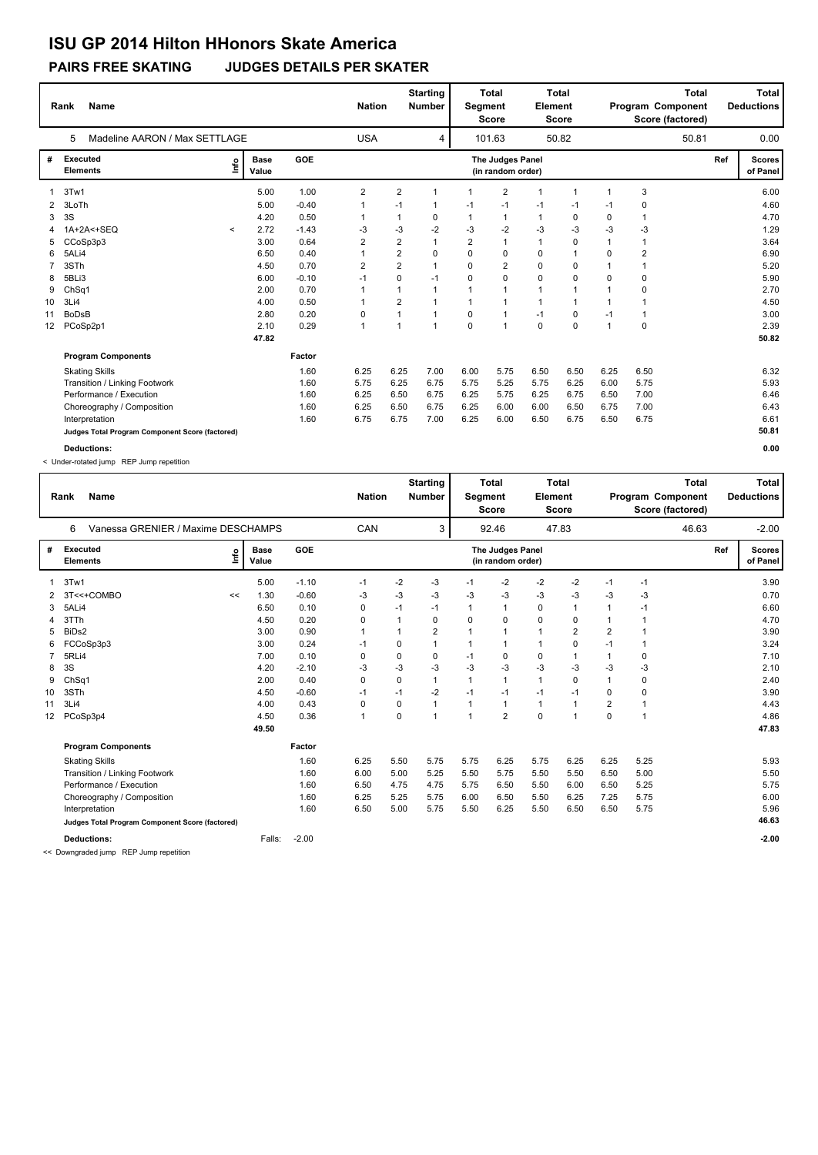#### **PAIRS FREE SKATING JUDGES DETAILS PER SKATER**

|                 | <b>Name</b><br>Rank                             |           |                      |         |              | <b>Nation</b>  | <b>Starting</b><br>Number | Segment        | <b>Total</b><br><b>Score</b>          | Element        | <b>Total</b><br><b>Score</b> |                | Program Component<br>Score (factored) | <b>Total</b> | Total<br><b>Deductions</b> |
|-----------------|-------------------------------------------------|-----------|----------------------|---------|--------------|----------------|---------------------------|----------------|---------------------------------------|----------------|------------------------------|----------------|---------------------------------------|--------------|----------------------------|
|                 | Madeline AARON / Max SETTLAGE<br>5              |           |                      |         | <b>USA</b>   |                | 4                         |                | 101.63                                |                | 50.82                        |                |                                       | 50.81        | 0.00                       |
| #               | Executed<br><b>Elements</b>                     | ١nf٥      | <b>Base</b><br>Value | GOE     |              |                |                           |                | The Judges Panel<br>(in random order) |                |                              |                |                                       | Ref          | <b>Scores</b><br>of Panel  |
|                 | 3Tw1                                            |           | 5.00                 | 1.00    | 2            | $\overline{2}$ | -1                        |                | $\overline{2}$                        | 1              | $\overline{1}$               | $\overline{1}$ | 3                                     |              | 6.00                       |
| 2               | 3LoTh                                           |           | 5.00                 | $-0.40$ |              | $-1$           | $\mathbf 1$               | -1             | $-1$                                  | $-1$           | $-1$                         | $-1$           | 0                                     |              | 4.60                       |
| 3               | 3S                                              |           | 4.20                 | 0.50    |              | 1              | 0                         | 1              | $\mathbf{1}$                          | $\mathbf{1}$   | 0                            | 0              | 1                                     |              | 4.70                       |
| 4               | 1A+2A<+SEQ                                      | $\hat{~}$ | 2.72                 | $-1.43$ | -3           | $-3$           | $-2$                      | -3             | $-2$                                  | $-3$           | $-3$                         | $-3$           | $-3$                                  |              | 1.29                       |
| 5               | CCoSp3p3                                        |           | 3.00                 | 0.64    | 2            | $\overline{2}$ | $\mathbf{1}$              | $\overline{2}$ | $\mathbf{1}$                          | $\mathbf{1}$   | $\Omega$                     | $\overline{1}$ | 1                                     |              | 3.64                       |
| 6               | 5ALi4                                           |           | 6.50                 | 0.40    |              | 2              | $\Omega$                  | $\mathbf 0$    | $\mathbf 0$                           | 0              | 1                            | 0              | $\overline{2}$                        |              | 6.90                       |
|                 | 3STh                                            |           | 4.50                 | 0.70    | 2            | $\overline{2}$ | $\mathbf{1}$              | $\Omega$       | $\overline{2}$                        | $\mathbf 0$    | $\Omega$                     | $\mathbf 1$    | 1                                     |              | 5.20                       |
| 8               | 5BLi3                                           |           | 6.00                 | $-0.10$ | $-1$         | 0              | $-1$                      | 0              | $\mathbf 0$                           | $\mathbf 0$    | 0                            | $\Omega$       | 0                                     |              | 5.90                       |
| 9               | ChSq1                                           |           | 2.00                 | 0.70    |              | 1              | $\mathbf{1}$              |                | $\overline{1}$                        | $\overline{1}$ | 1                            |                | 0                                     |              | 2.70                       |
| 10              | 3Li4                                            |           | 4.00                 | 0.50    |              | $\overline{2}$ | $\mathbf 1$               |                |                                       | $\overline{1}$ | $\mathbf 1$                  |                |                                       |              | 4.50                       |
| 11              | <b>BoDsB</b>                                    |           | 2.80                 | 0.20    | 0            | 1              | $\mathbf 1$               | $\mathbf 0$    | $\overline{1}$                        | $-1$           | $\mathbf 0$                  | $-1$           | 1                                     |              | 3.00                       |
| 12 <sup>2</sup> | PCoSp2p1                                        |           | 2.10                 | 0.29    | $\mathbf{1}$ | 1              | $\overline{1}$            | $\mathbf 0$    | $\overline{1}$                        | $\mathbf 0$    | $\mathbf 0$                  | $\overline{1}$ | $\mathbf 0$                           |              | 2.39                       |
|                 |                                                 |           | 47.82                |         |              |                |                           |                |                                       |                |                              |                |                                       |              | 50.82                      |
|                 | <b>Program Components</b>                       |           |                      | Factor  |              |                |                           |                |                                       |                |                              |                |                                       |              |                            |
|                 | <b>Skating Skills</b>                           |           |                      | 1.60    | 6.25         | 6.25           | 7.00                      | 6.00           | 5.75                                  | 6.50           | 6.50                         | 6.25           | 6.50                                  |              | 6.32                       |
|                 | <b>Transition / Linking Footwork</b>            |           |                      | 1.60    | 5.75         | 6.25           | 6.75                      | 5.75           | 5.25                                  | 5.75           | 6.25                         | 6.00           | 5.75                                  |              | 5.93                       |
|                 | Performance / Execution                         |           |                      | 1.60    | 6.25         | 6.50           | 6.75                      | 6.25           | 5.75                                  | 6.25           | 6.75                         | 6.50           | 7.00                                  |              | 6.46                       |
|                 | Choreography / Composition                      |           |                      | 1.60    | 6.25         | 6.50           | 6.75                      | 6.25           | 6.00                                  | 6.00           | 6.50                         | 6.75           | 7.00                                  |              | 6.43                       |
|                 | Interpretation                                  |           |                      | 1.60    | 6.75         | 6.75           | 7.00                      | 6.25           | 6.00                                  | 6.50           | 6.75                         | 6.50           | 6.75                                  |              | 6.61                       |
|                 | Judges Total Program Component Score (factored) |           |                      |         |              |                |                           |                |                                       |                |                              |                |                                       |              | 50.81                      |
|                 | <b>Deductions:</b>                              |           |                      |         |              |                |                           |                |                                       |                |                              |                |                                       |              | 0.00                       |

< Under-rotated jump REP Jump repetition

| <b>Name</b><br>Rank |                                                 |      |                      |            |                | <b>Nation</b> | <b>Starting</b><br><b>Number</b> | <b>Segment</b> | <b>Total</b><br><b>Score</b>          | Element        | <b>Total</b><br><b>Score</b> |                | Program Component<br>Score (factored) | <b>Total</b> | <b>Total</b><br><b>Deductions</b> |
|---------------------|-------------------------------------------------|------|----------------------|------------|----------------|---------------|----------------------------------|----------------|---------------------------------------|----------------|------------------------------|----------------|---------------------------------------|--------------|-----------------------------------|
|                     | Vanessa GRENIER / Maxime DESCHAMPS<br>6         |      |                      |            | <b>CAN</b>     |               | 3                                |                | 92.46                                 |                | 47.83                        |                |                                       | 46.63        | $-2.00$                           |
| #                   | Executed<br><b>Elements</b>                     | lnfo | <b>Base</b><br>Value | <b>GOE</b> |                |               |                                  |                | The Judges Panel<br>(in random order) |                |                              |                |                                       | Ref          | <b>Scores</b><br>of Panel         |
|                     | 3Tw1                                            |      | 5.00                 | $-1.10$    | $-1$           | $-2$          | -3                               | $-1$           | $-2$                                  | -2             | $-2$                         | $-1$           | $-1$                                  |              | 3.90                              |
| 2                   | 3T<<+COMBO                                      | <<   | 1.30                 | $-0.60$    | $-3$           | $-3$          | $-3$                             | $-3$           | $-3$                                  | $-3$           | $-3$                         | $-3$           | $-3$                                  |              | 0.70                              |
| 3                   | 5ALi4                                           |      | 6.50                 | 0.10       | 0              | $-1$          | $-1$                             |                | $\mathbf{1}$                          | 0              | 1                            |                | $-1$                                  |              | 6.60                              |
| 4                   | 3TTh                                            |      | 4.50                 | 0.20       | 0              | 1             | 0                                | 0              | 0                                     | 0              | 0                            |                | 1                                     |              | 4.70                              |
| 5                   | BiDs2                                           |      | 3.00                 | 0.90       | -1             | 1             | 2                                |                | 1                                     | $\overline{1}$ | $\overline{2}$               | 2              | 1                                     |              | 3.90                              |
| 6                   | FCCoSp3p3                                       |      | 3.00                 | 0.24       | $-1$           | 0             |                                  | 1              | $\mathbf 1$                           | $\mathbf 1$    | 0                            | $-1$           | $\mathbf 1$                           |              | 3.24                              |
| 7                   | 5RLi4                                           |      | 7.00                 | 0.10       | 0              | 0             | 0                                | $-1$           | 0                                     | 0              | 1                            | $\mathbf 1$    | 0                                     |              | 7.10                              |
| 8                   | 3S                                              |      | 4.20                 | $-2.10$    | $-3$           | -3            | -3                               | $-3$           | -3                                    | $-3$           | $-3$                         | $-3$           | $-3$                                  |              | 2.10                              |
| 9                   | ChSq1                                           |      | 2.00                 | 0.40       | 0              | 0             | 1                                | 1              | $\mathbf{1}$                          | $\mathbf{1}$   | $\Omega$                     | $\overline{1}$ | 0                                     |              | 2.40                              |
| 10                  | 3STh                                            |      | 4.50                 | $-0.60$    | $-1$           | $-1$          | $-2$                             | $-1$           | $-1$                                  | $-1$           | $-1$                         | $\Omega$       | 0                                     |              | 3.90                              |
| 11                  | 3Li4                                            |      | 4.00                 | 0.43       | 0              | 0             | 1                                | $\mathbf{1}$   | $\mathbf{1}$                          | $\mathbf{1}$   | $\mathbf{1}$                 | $\overline{2}$ | 1                                     |              | 4.43                              |
| 12                  | PCoSp3p4                                        |      | 4.50                 | 0.36       | $\overline{1}$ | $\Omega$      | 1                                | $\overline{ }$ | $\overline{2}$                        | $\mathbf 0$    | 1                            | $\Omega$       | 1                                     |              | 4.86                              |
|                     |                                                 |      | 49.50                |            |                |               |                                  |                |                                       |                |                              |                |                                       |              | 47.83                             |
|                     | <b>Program Components</b>                       |      |                      | Factor     |                |               |                                  |                |                                       |                |                              |                |                                       |              |                                   |
|                     | <b>Skating Skills</b>                           |      |                      | 1.60       | 6.25           | 5.50          | 5.75                             | 5.75           | 6.25                                  | 5.75           | 6.25                         | 6.25           | 5.25                                  |              | 5.93                              |
|                     | Transition / Linking Footwork                   |      |                      | 1.60       | 6.00           | 5.00          | 5.25                             | 5.50           | 5.75                                  | 5.50           | 5.50                         | 6.50           | 5.00                                  |              | 5.50                              |
|                     | Performance / Execution                         |      |                      | 1.60       | 6.50           | 4.75          | 4.75                             | 5.75           | 6.50                                  | 5.50           | 6.00                         | 6.50           | 5.25                                  |              | 5.75                              |
|                     | Choreography / Composition                      |      |                      | 1.60       | 6.25           | 5.25          | 5.75                             | 6.00           | 6.50                                  | 5.50           | 6.25                         | 7.25           | 5.75                                  |              | 6.00                              |
|                     | Interpretation                                  |      |                      | 1.60       | 6.50           | 5.00          | 5.75                             | 5.50           | 6.25                                  | 5.50           | 6.50                         | 6.50           | 5.75                                  |              | 5.96                              |
|                     | Judges Total Program Component Score (factored) |      |                      |            |                |               |                                  |                |                                       |                |                              |                |                                       |              | 46.63                             |
|                     | <b>Deductions:</b>                              |      | Falls:               | $-2.00$    |                |               |                                  |                |                                       |                |                              |                |                                       |              | $-2.00$                           |

<< Downgraded jump REP Jump repetition